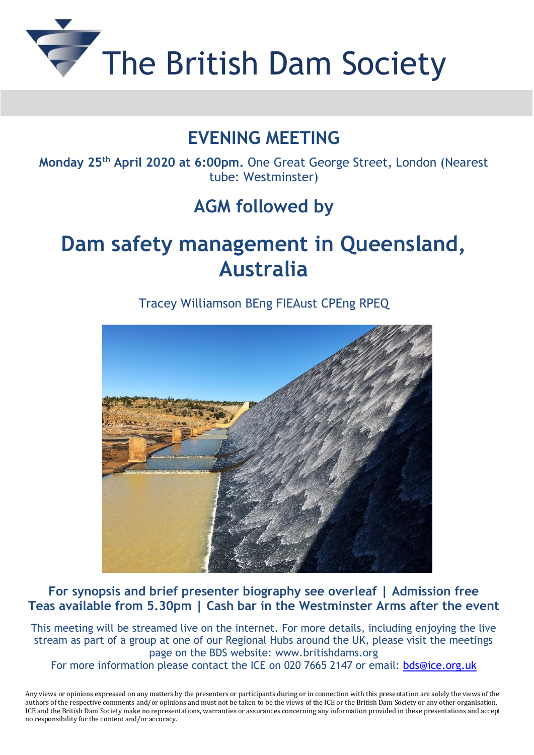

## **EVENING MEETING**

**Monday 25 th April 2020 at 6:00pm.** One Great George Street, London (Nearest tube: Westminster)

## **AGM followed by**

# **Dam safety management in Queensland, Australia**

Tracey Williamson BEng FIEAust CPEng RPEQ



**For synopsis and brief presenter biography see overleaf | Admission free Teas available from 5.30pm | Cash bar in the Westminster Arms after the event**

This meeting will be streamed live on the internet. For more details, including enjoying the live stream as part of a group at one of our Regional Hubs around the UK, please visit the meetings page on the BDS website: [www.britishdams.org](http://secure-web.cisco.com/1F_iRPM2HkRqRPfL49c1Xk3j7rWjrXtvFnw9lVJkKgzvcwd82bGCLaf_YJGooXpV1IUSyKnCDRSpPPX1Qd6EyhUUz4cYUgJ2kOj_q3b7bnu0SeZ6HOGcCq-ZpoHAt7yVJQnNJllcxt2o27Y0qGlJcb-USx1qZNwFpYruJnlhv4EBUEqmrqGlMDXcYfvSr6N472EVthceowhKV2FFB6QDnWDcv2B71bFs2xhBRFUAq2v-0SWeQIz7mmtMdvbGxuTVePbrrfw47QuFo7Qta2OjvcXH4fpVa0n83SisLhVl4k3o5GvEnbQctFcEXsSPngvZ4y_aVfb61n7cp0z6ws_Ty2Q/http%3A%2F%2Fwww.britishdams.org) For more information please contact the ICE on 020 7665 2147 or email: [bds@ice.org.uk](mailto:bds@ice.org.uk)

Any views or opinions expressed on any matters by the presenters or participants during or in connection with this presentation are solely the views of the authors of the respective comments and/or opinions and must not be taken to be the views of the ICE or the British Dam Society or any other organisation. ICE and the British Dam Society make no representations, warranties or assurances concerning any information provided in these presentations and accept no responsibility for the content and/or accuracy.